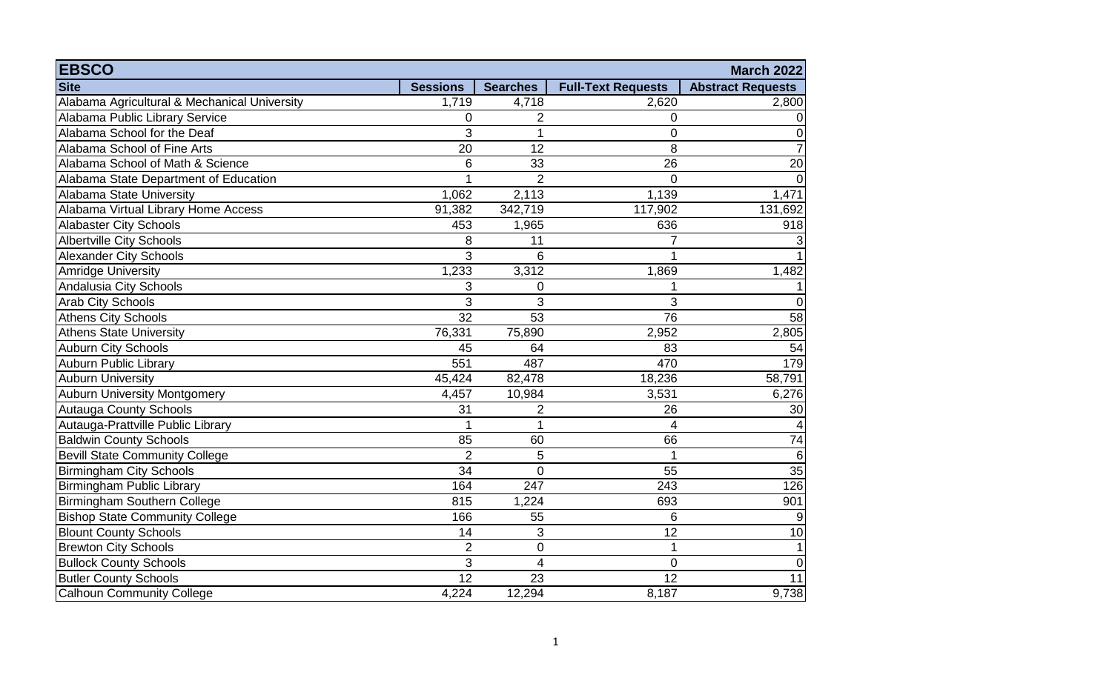| <b>EBSCO</b>                                 |                 |                  |                           | <b>March 2022</b>        |
|----------------------------------------------|-----------------|------------------|---------------------------|--------------------------|
| <b>Site</b>                                  | <b>Sessions</b> | <b>Searches</b>  | <b>Full-Text Requests</b> | <b>Abstract Requests</b> |
| Alabama Agricultural & Mechanical University | 1,719           | 4,718            | 2,620                     | 2,800                    |
| Alabama Public Library Service               | 0               | 2                | 0                         | 0                        |
| Alabama School for the Deaf                  | 3               | 1                | 0                         | $\overline{0}$           |
| Alabama School of Fine Arts                  | $\overline{20}$ | 12               | 8                         | $\overline{7}$           |
| Alabama School of Math & Science             | 6               | 33               | 26                        | 20                       |
| Alabama State Department of Education        |                 | $\overline{2}$   | 0                         | 0                        |
| Alabama State University                     | 1,062           | 2,113            | 1,139                     | 1,471                    |
| Alabama Virtual Library Home Access          | 91,382          | 342,719          | 117,902                   | 131,692                  |
| <b>Alabaster City Schools</b>                | 453             | 1,965            | 636                       | 918                      |
| <b>Albertville City Schools</b>              | 8               | 11               | 7                         | $\mathbf{3}$             |
| <b>Alexander City Schools</b>                | 3               | 6                |                           | 1                        |
| <b>Amridge University</b>                    | 1,233           | 3,312            | 1,869                     | 1,482                    |
| Andalusia City Schools                       | 3               | $\mathbf 0$      | 1                         | 1                        |
| <b>Arab City Schools</b>                     | 3               | 3                | 3                         | 0                        |
| <b>Athens City Schools</b>                   | $\overline{32}$ | 53               | 76                        | 58                       |
| <b>Athens State University</b>               | 76,331          | 75,890           | 2,952                     | 2,805                    |
| <b>Auburn City Schools</b>                   | 45              | 64               | 83                        | 54                       |
| <b>Auburn Public Library</b>                 | 551             | 487              | 470                       | 179                      |
| Auburn University                            | 45,424          | 82,478           | 18,236                    | 58,791                   |
| <b>Auburn University Montgomery</b>          | 4,457           | 10,984           | 3,531                     | 6,276                    |
| <b>Autauga County Schools</b>                | 31              | 2                | 26                        | 30                       |
| Autauga-Prattville Public Library            | 1               | 1                | 4                         | $\vert 4 \vert$          |
| <b>Baldwin County Schools</b>                | 85              | 60               | 66                        | 74                       |
| <b>Bevill State Community College</b>        | $\overline{2}$  | 5                | $\mathbf{1}$              | 6                        |
| <b>Birmingham City Schools</b>               | $\overline{34}$ | $\overline{0}$   | $\overline{55}$           | 35                       |
| <b>Birmingham Public Library</b>             | 164             | $\overline{247}$ | 243                       | 126                      |
| Birmingham Southern College                  | 815             | 1,224            | 693                       | 901                      |
| <b>Bishop State Community College</b>        | 166             | 55               | 6                         | $\overline{9}$           |
| <b>Blount County Schools</b>                 | 14              | 3                | 12                        | 10                       |
| <b>Brewton City Schools</b>                  | $\overline{2}$  | $\mathbf 0$      | 1                         | 1                        |
| <b>Bullock County Schools</b>                | 3               | 4                | $\overline{0}$            | 0                        |
| <b>Butler County Schools</b>                 | $\overline{12}$ | 23               | $\overline{12}$           | 11                       |
| <b>Calhoun Community College</b>             | 4,224           | 12,294           | 8,187                     | 9,738                    |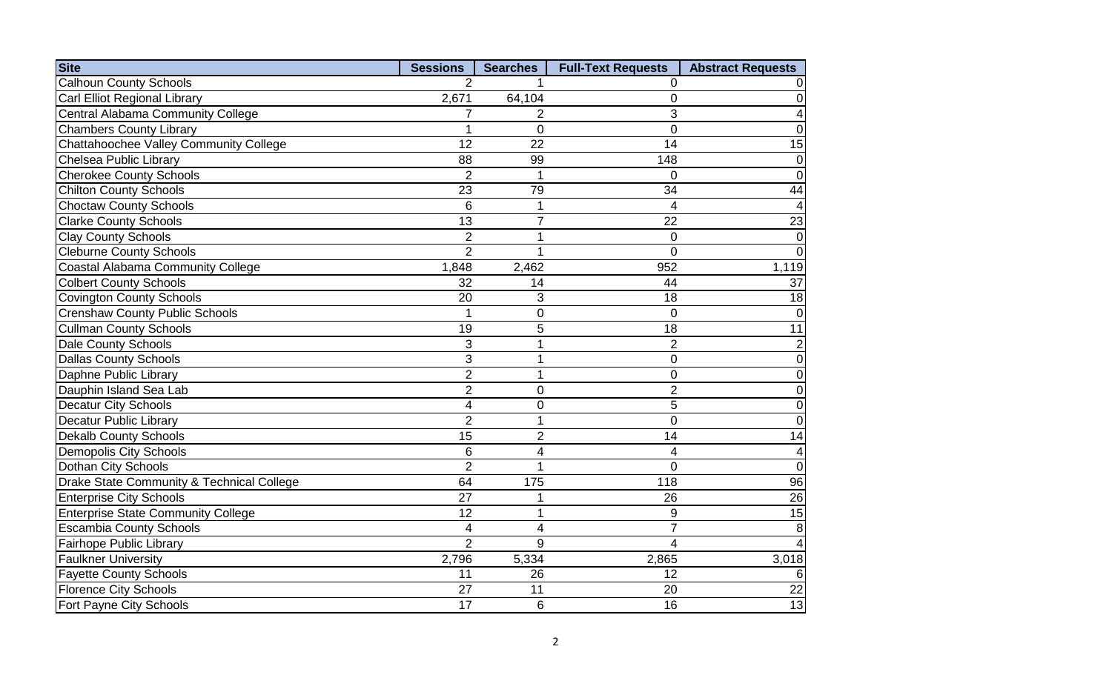| <b>Site</b>                               | <b>Sessions</b> | <b>Searches</b> | <b>Full-Text Requests</b> | <b>Abstract Requests</b> |
|-------------------------------------------|-----------------|-----------------|---------------------------|--------------------------|
| <b>Calhoun County Schools</b>             | $\mathcal{P}$   |                 | 0                         | $\vert 0 \vert$          |
| Carl Elliot Regional Library              | 2,671           | 64,104          | 0                         | $\overline{0}$           |
| Central Alabama Community College         | 7               | 2               | 3                         | $\overline{4}$           |
| <b>Chambers County Library</b>            |                 | $\mathbf 0$     | $\overline{0}$            | $\overline{0}$           |
| Chattahoochee Valley Community College    | 12              | 22              | 14                        | 15                       |
| Chelsea Public Library                    | 88              | 99              | 148                       | $\overline{0}$           |
| <b>Cherokee County Schools</b>            | $\overline{2}$  | 1               | $\Omega$                  | $\overline{0}$           |
| <b>Chilton County Schools</b>             | 23              | 79              | 34                        | 44                       |
| <b>Choctaw County Schools</b>             | 6               | 1               | 4                         | $\vert$                  |
| <b>Clarke County Schools</b>              | $\overline{13}$ | $\overline{7}$  | 22                        | $\overline{23}$          |
| Clay County Schools                       | $\overline{2}$  | 1               | 0                         | $\overline{0}$           |
| Cleburne County Schools                   | $\overline{2}$  | 1               | $\overline{0}$            | $\overline{0}$           |
| <b>Coastal Alabama Community College</b>  | 1,848           | 2,462           | 952                       | 1,119                    |
| <b>Colbert County Schools</b>             | 32              | 14              | 44                        | 37                       |
| <b>Covington County Schools</b>           | 20              | 3               | 18                        | 18                       |
| <b>Crenshaw County Public Schools</b>     | 1               | 0               | $\Omega$                  | $\overline{0}$           |
| <b>Cullman County Schools</b>             | 19              | 5               | 18                        | 11                       |
| <b>Dale County Schools</b>                | 3               | 1               | $\overline{2}$            | $\overline{c}$           |
| <b>Dallas County Schools</b>              | 3               | 1               | $\overline{0}$            | $\overline{0}$           |
| Daphne Public Library                     | $\overline{2}$  | 1               | 0                         | $\overline{0}$           |
| Dauphin Island Sea Lab                    | $\overline{2}$  | 0               | $\overline{2}$            | $\overline{0}$           |
| Decatur City Schools                      | $\overline{4}$  | $\mathbf 0$     | 5                         | $\overline{0}$           |
| <b>Decatur Public Library</b>             | $\overline{2}$  | $\mathbf{1}$    | $\overline{0}$            | $\overline{0}$           |
| <b>Dekalb County Schools</b>              | $\overline{15}$ | $\overline{2}$  | 14                        | 14                       |
| <b>Demopolis City Schools</b>             | 6               | 4               | 4                         | $\boldsymbol{4}$         |
| Dothan City Schools                       | $\overline{2}$  | 1               | $\mathbf 0$               | $\overline{0}$           |
| Drake State Community & Technical College | 64              | 175             | 118                       | 96                       |
| <b>Enterprise City Schools</b>            | 27              | 1               | 26                        | 26                       |
| <b>Enterprise State Community College</b> | 12              | 1               | 9                         | 15                       |
| <b>Escambia County Schools</b>            | $\overline{4}$  | 4               | $\overline{7}$            | $\bf{8}$                 |
| <b>Fairhope Public Library</b>            | $\overline{2}$  | 9               | 4                         | $\overline{4}$           |
| <b>Faulkner University</b>                | 2,796           | 5,334           | 2,865                     | 3,018                    |
| <b>Fayette County Schools</b>             | 11              | 26              | 12                        | $6 \overline{6}$         |
| <b>Florence City Schools</b>              | 27              | 11              | 20                        | 22                       |
| Fort Payne City Schools                   | 17              | 6               | 16                        | $\overline{13}$          |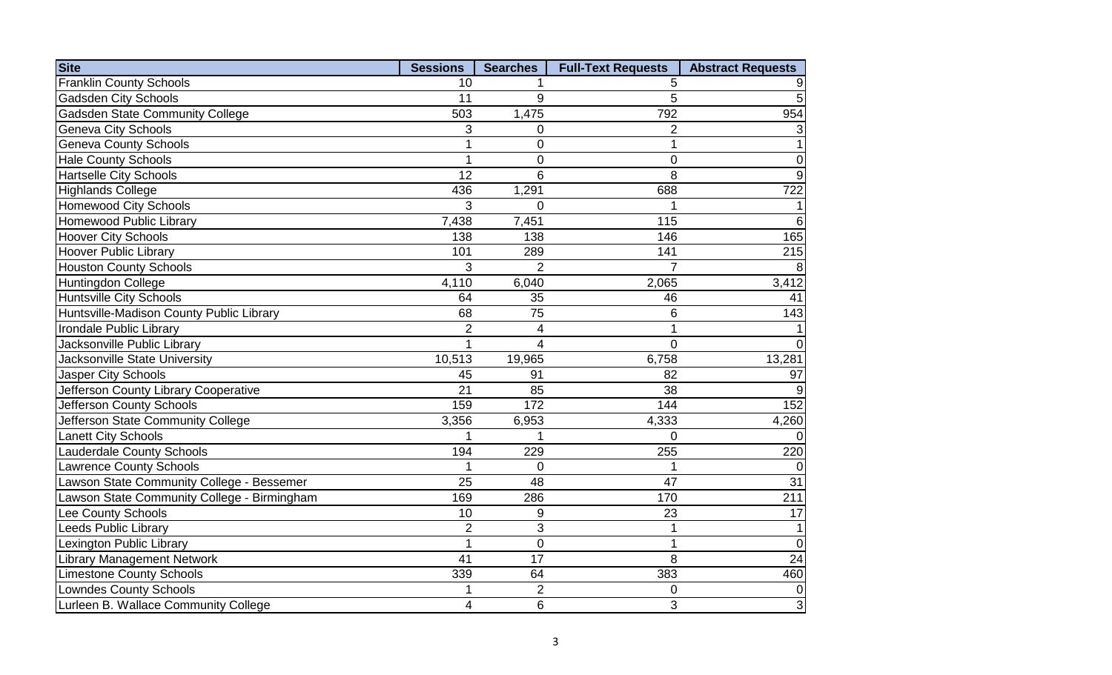| <b>Site</b>                                 | <b>Sessions</b> | <b>Searches</b> | <b>Full-Text Requests</b> | <b>Abstract Requests</b> |
|---------------------------------------------|-----------------|-----------------|---------------------------|--------------------------|
| <b>Franklin County Schools</b>              | 10              |                 | 5                         | 9                        |
| <b>Gadsden City Schools</b>                 | 11              | 9               | 5                         | $\overline{5}$           |
| <b>Gadsden State Community College</b>      | 503             | 1,475           | 792                       | 954                      |
| Geneva City Schools                         | 3               | 0               | $\overline{2}$            | 3                        |
| <b>Geneva County Schools</b>                |                 | 0               | 1                         | 1                        |
| <b>Hale County Schools</b>                  |                 | 0               | 0                         | 0                        |
| <b>Hartselle City Schools</b>               | 12              | 6               | 8                         | $\overline{9}$           |
| <b>Highlands College</b>                    | 436             | 1,291           | 688                       | $\overline{722}$         |
| <b>Homewood City Schools</b>                | 3               | 0               |                           | 1                        |
| Homewood Public Library                     | 7,438           | 7,451           | $\frac{115}{115}$         | 6                        |
| <b>Hoover City Schools</b>                  | 138             | 138             | 146                       | 165                      |
| <b>Hoover Public Library</b>                | 101             | 289             | 141                       | 215                      |
| <b>Houston County Schools</b>               | 3               | $\overline{2}$  | $\overline{7}$            | 8 <sup>°</sup>           |
| <b>Huntingdon College</b>                   | 4,110           | 6,040           | 2,065                     | 3,412                    |
| <b>Huntsville City Schools</b>              | 64              | 35              | 46                        | 41                       |
| Huntsville-Madison County Public Library    | 68              | 75              | 6                         | 143                      |
| Irondale Public Library                     | $\overline{2}$  | $\overline{4}$  | $\overline{1}$            | 1                        |
| Jacksonville Public Library                 | 1               | 4               | $\overline{0}$            | 0                        |
| Jacksonville State University               | 10,513          | 19,965          | 6,758                     | 13,281                   |
| Jasper City Schools                         | 45              | 91              | 82                        | 97                       |
| Jefferson County Library Cooperative        | 21              | 85              | 38                        | 9                        |
| Jefferson County Schools                    | 159             | 172             | 144                       | 152                      |
| Jefferson State Community College           | 3,356           | 6,953           | 4,333                     | 4,260                    |
| <b>Lanett City Schools</b>                  |                 | 1               | $\mathbf 0$               | 0I                       |
| <b>Lauderdale County Schools</b>            | 194             | 229             | 255                       | 220                      |
| <b>Lawrence County Schools</b>              |                 | 0               |                           | 0                        |
| Lawson State Community College - Bessemer   | 25              | 48              | 47                        | 31                       |
| Lawson State Community College - Birmingham | 169             | 286             | 170                       | 211                      |
| Lee County Schools                          | 10              | 9               | 23                        | 17                       |
| <b>Leeds Public Library</b>                 | $\overline{2}$  | 3               | $\mathbf{1}$              | 1                        |
| Lexington Public Library                    | 1               | $\mathbf 0$     | $\mathbf 1$               | 0                        |
| <b>Library Management Network</b>           | 41              | $\overline{17}$ | 8                         | 24                       |
| <b>Limestone County Schools</b>             | 339             | 64              | 383                       | 460                      |
| <b>Lowndes County Schools</b>               |                 | $\overline{2}$  | 0                         | 0                        |
| Lurleen B. Wallace Community College        | $\overline{4}$  | 6               | 3                         | $\overline{3}$           |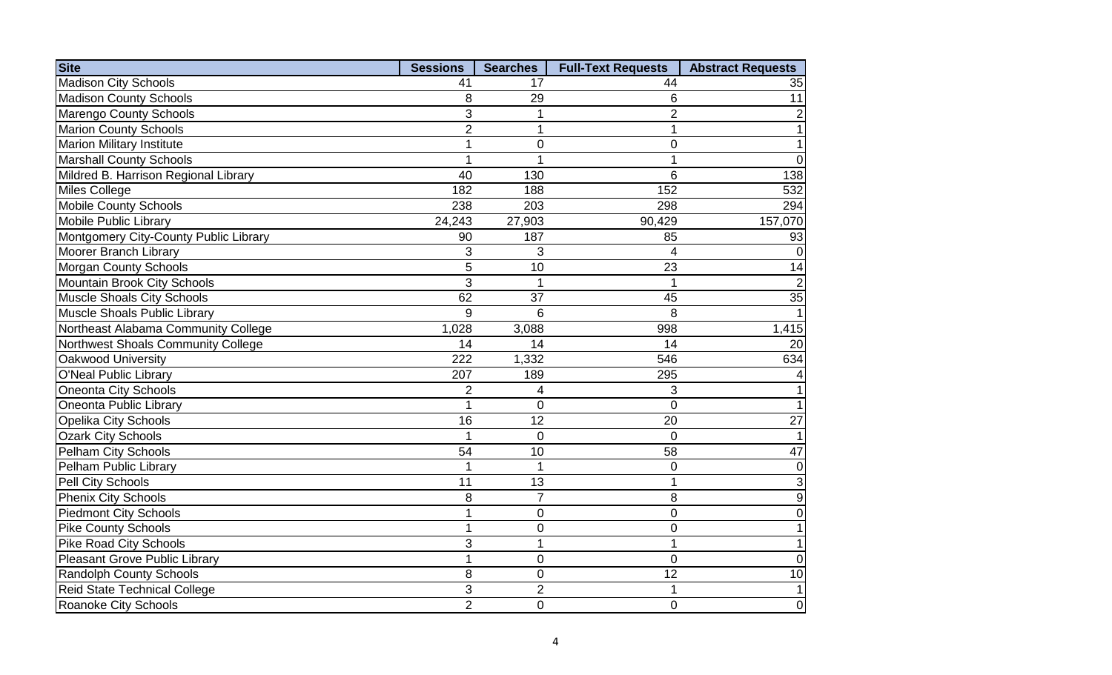| <b>Site</b>                           | <b>Sessions</b> | <b>Searches</b> | <b>Full-Text Requests</b> | <b>Abstract Requests</b> |
|---------------------------------------|-----------------|-----------------|---------------------------|--------------------------|
| <b>Madison City Schools</b>           | 41              | 17              | 44                        | 35                       |
| <b>Madison County Schools</b>         | 8               | 29              | 6                         | 11                       |
| <b>Marengo County Schools</b>         | 3               | 1               | $\overline{2}$            | 2                        |
| Marion County Schools                 | $\overline{2}$  | 1               | 1                         | $\mathbf{1}$             |
| <b>Marion Military Institute</b>      | 1               | $\overline{0}$  | $\overline{0}$            | 1                        |
| <b>Marshall County Schools</b>        | 1               | 1               | 1                         | $\Omega$                 |
| Mildred B. Harrison Regional Library  | 40              | 130             | 6                         | 138                      |
| <b>Miles College</b>                  | 182             | 188             | 152                       | 532                      |
| <b>Mobile County Schools</b>          | 238             | 203             | 298                       | 294                      |
| Mobile Public Library                 | 24,243          | 27,903          | 90,429                    | 157,070                  |
| Montgomery City-County Public Library | 90              | 187             | 85                        | 93                       |
| Moorer Branch Library                 | 3               | 3               | 4                         | $\Omega$                 |
| <b>Morgan County Schools</b>          | 5               | 10              | 23                        | 14                       |
| Mountain Brook City Schools           | 3               | 1               |                           | $\overline{2}$           |
| <b>Muscle Shoals City Schools</b>     | 62              | 37              | 45                        | $\overline{35}$          |
| <b>Muscle Shoals Public Library</b>   | 9               | 6               | 8                         |                          |
| Northeast Alabama Community College   | 1,028           | 3,088           | 998                       | 1,415                    |
| Northwest Shoals Community College    | 14              | 14              | 14                        | 20                       |
| Oakwood University                    | 222             | 1,332           | 546                       | 634                      |
| <b>O'Neal Public Library</b>          | 207             | 189             | 295                       |                          |
| <b>Oneonta City Schools</b>           | $\overline{2}$  | 4               | 3                         |                          |
| Oneonta Public Library                | 1               | $\overline{0}$  | $\overline{0}$            |                          |
| <b>Opelika City Schools</b>           | 16              | 12              | 20                        | 27                       |
| <b>Ozark City Schools</b>             | 1               | $\mathbf 0$     | $\overline{0}$            |                          |
| <b>Pelham City Schools</b>            | $\overline{54}$ | 10              | 58                        | 47                       |
| Pelham Public Library                 | 1               | $\mathbf{1}$    | $\mathbf 0$               | $\mathbf 0$              |
| Pell City Schools                     | 11              | 13              |                           | 3                        |
| <b>Phenix City Schools</b>            | 8               | $\overline{7}$  | 8                         | 9                        |
| <b>Piedmont City Schools</b>          | 1               | $\pmb{0}$       | $\mathbf 0$               | 0                        |
| <b>Pike County Schools</b>            | 1               | $\mathbf 0$     | $\overline{0}$            | 1                        |
| <b>Pike Road City Schools</b>         | 3               | 1               | 1                         | 1                        |
| <b>Pleasant Grove Public Library</b>  | 1               | 0               | $\overline{0}$            | 0                        |
| <b>Randolph County Schools</b>        | 8               | $\mathbf 0$     | $\overline{12}$           | $\overline{10}$          |
| <b>Reid State Technical College</b>   | 3               | $\overline{2}$  |                           |                          |
| Roanoke City Schools                  | $\overline{2}$  | $\mathbf 0$     | $\overline{0}$            | $\overline{0}$           |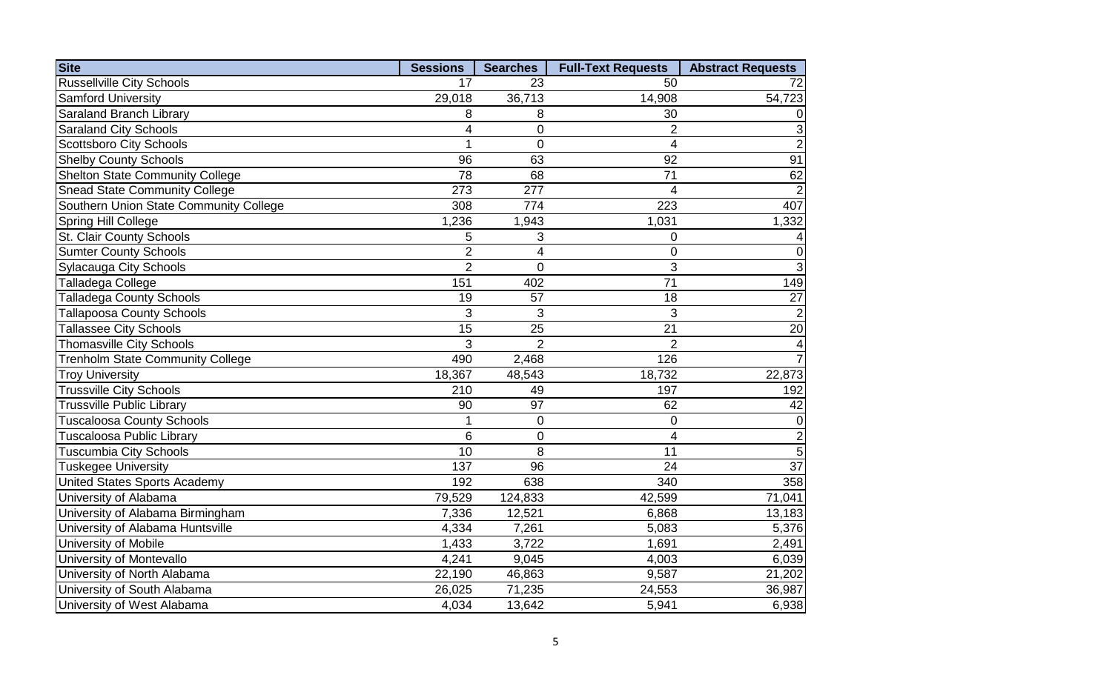| <b>Site</b>                             | <b>Sessions</b> | <b>Searches</b> | <b>Full-Text Requests</b> | <b>Abstract Requests</b> |
|-----------------------------------------|-----------------|-----------------|---------------------------|--------------------------|
| <b>Russellville City Schools</b>        | 17              | 23              | 50                        | 72                       |
| <b>Samford University</b>               | 29,018          | 36,713          | 14,908                    | 54,723                   |
| Saraland Branch Library                 | 8               | 8               | 30                        | 0                        |
| <b>Saraland City Schools</b>            | 4               | 0               | $\overline{2}$            | 3                        |
| <b>Scottsboro City Schools</b>          | 1               | $\mathbf 0$     | $\overline{4}$            | $\mathbf 2$              |
| <b>Shelby County Schools</b>            | 96              | 63              | 92                        | 91                       |
| <b>Shelton State Community College</b>  | 78              | 68              | $\overline{71}$           | 62                       |
| <b>Snead State Community College</b>    | 273             | 277             | $\overline{4}$            | $\overline{2}$           |
| Southern Union State Community College  | 308             | 774             | 223                       | 407                      |
| Spring Hill College                     | 1,236           | 1,943           | 1,031                     | 1,332                    |
| St. Clair County Schools                | 5               | $\sqrt{3}$      | $\mathbf 0$               | 4                        |
| <b>Sumter County Schools</b>            | $\overline{2}$  | 4               | $\mathbf 0$               | $\mathbf 0$              |
| <b>Sylacauga City Schools</b>           | $\overline{2}$  | 0               | 3                         | 3                        |
| Talladega College                       | 151             | 402             | $\overline{71}$           | 149                      |
| <b>Talladega County Schools</b>         | 19              | 57              | 18                        | $\overline{27}$          |
| <b>Tallapoosa County Schools</b>        | 3               | 3               | 3                         | $\overline{c}$           |
| <b>Tallassee City Schools</b>           | 15              | 25              | 21                        | $\overline{20}$          |
| <b>Thomasville City Schools</b>         | 3               | $\overline{2}$  | $\overline{2}$            | $\vert 4 \vert$          |
| <b>Trenholm State Community College</b> | 490             | 2,468           | 126                       | $\overline{7}$           |
| <b>Troy University</b>                  | 18,367          | 48,543          | 18,732                    | 22,873                   |
| <b>Trussville City Schools</b>          | 210             | 49              | 197                       | 192                      |
| <b>Trussville Public Library</b>        | 90              | 97              | 62                        | 42                       |
| <b>Tuscaloosa County Schools</b>        | 1               | 0               | 0                         | $\overline{0}$           |
| <b>Tuscaloosa Public Library</b>        | $\overline{6}$  | $\mathbf 0$     | $\overline{4}$            | $\overline{2}$           |
| <b>Tuscumbia City Schools</b>           | 10              | 8               | 11                        | $\overline{5}$           |
| <b>Tuskegee University</b>              | 137             | 96              | 24                        | $\overline{37}$          |
| <b>United States Sports Academy</b>     | 192             | 638             | 340                       | 358                      |
| University of Alabama                   | 79,529          | 124,833         | 42,599                    | 71,041                   |
| University of Alabama Birmingham        | 7,336           | 12,521          | 6,868                     | 13,183                   |
| University of Alabama Huntsville        | 4,334           | 7,261           | 5,083                     | 5,376                    |
| University of Mobile                    | 1,433           | 3,722           | 1,691                     | 2,491                    |
| University of Montevallo                | 4,241           | 9,045           | 4,003                     | 6,039                    |
| University of North Alabama             | 22,190          | 46,863          | 9,587                     | 21,202                   |
| University of South Alabama             | 26,025          | 71,235          | 24,553                    | 36,987                   |
| University of West Alabama              | 4,034           | 13,642          | 5,941                     | 6,938                    |